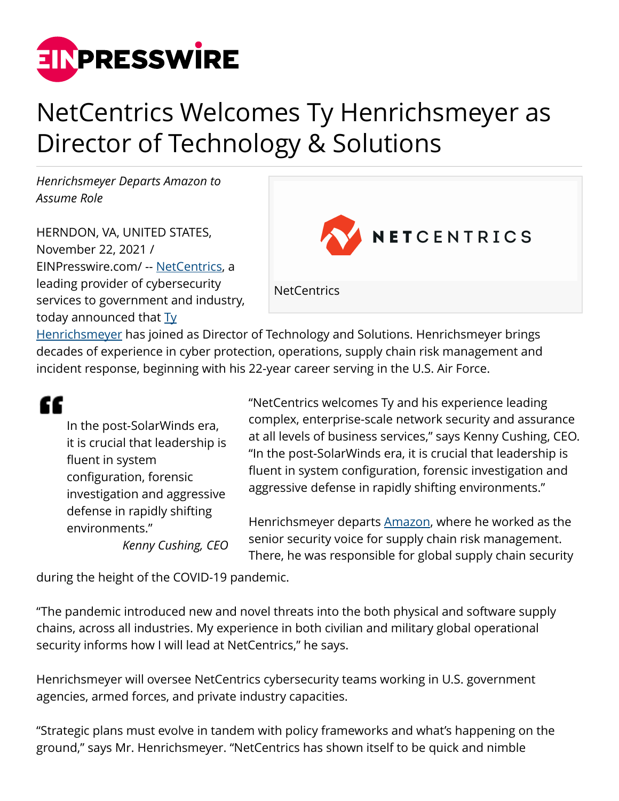

## NetCentrics Welcomes Ty Henrichsmeyer as Director of Technology & Solutions

*Henrichsmeyer Departs Amazon to Assume Role*

HERNDON, VA, UNITED STATES, November 22, 2021 / [EINPresswire.com](http://www.einpresswire.com)/ -- [NetCentrics,](http://www.netcentrics.com) a leading provider of cybersecurity services to government and industry, today announced that  $Ty$ </u>



[Henrichsmeyer](https://www.linkedin.com/in/ty-henrichsmeyer-cissp-a7189361/) has joined as Director of Technology and Solutions. Henrichsmeyer brings decades of experience in cyber protection, operations, supply chain risk management and incident response, beginning with his 22-year career serving in the U.S. Air Force.

## æ

In the post-SolarWinds era, it is crucial that leadership is fluent in system configuration, forensic investigation and aggressive defense in rapidly shifting environments." *Kenny Cushing, CEO* "NetCentrics welcomes Ty and his experience leading complex, enterprise-scale network security and assurance at all levels of business services," says Kenny Cushing, CEO. "In the post-SolarWinds era, it is crucial that leadership is fluent in system configuration, forensic investigation and aggressive defense in rapidly shifting environments."

Henrichsmeyer departs [Amazon,](https://www.amazon.com) where he worked as the senior security voice for supply chain risk management. There, he was responsible for global supply chain security

during the height of the COVID-19 pandemic.

"The pandemic introduced new and novel threats into the both physical and software supply chains, across all industries. My experience in both civilian and military global operational security informs how I will lead at NetCentrics," he says.

Henrichsmeyer will oversee NetCentrics cybersecurity teams working in U.S. government agencies, armed forces, and private industry capacities.

"Strategic plans must evolve in tandem with policy frameworks and what's happening on the ground," says Mr. Henrichsmeyer. "NetCentrics has shown itself to be quick and nimble